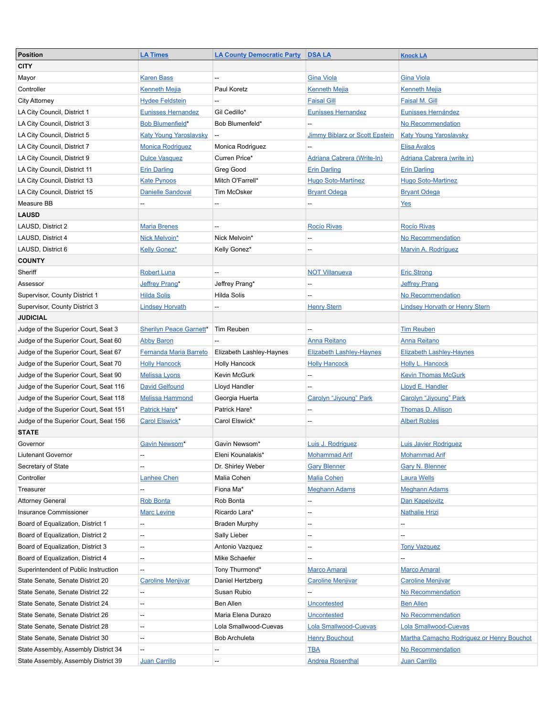| <b>Position</b>                       | <b>LA Times</b>                | <b>LA County Democratic Party</b> | <b>DSA LA</b>                         | <b>Knock LA</b>                           |
|---------------------------------------|--------------------------------|-----------------------------------|---------------------------------------|-------------------------------------------|
| <b>CITY</b>                           |                                |                                   |                                       |                                           |
| Mayor                                 | <b>Karen Bass</b>              | $- -$                             | <b>Gina Viola</b>                     | <b>Gina Viola</b>                         |
| Controller                            | <b>Kenneth Mejia</b>           | Paul Koretz                       | <b>Kenneth Mejia</b>                  | <b>Kenneth Mejia</b>                      |
| <b>City Attorney</b>                  | <b>Hydee Feldstein</b>         |                                   | <b>Faisal Gill</b>                    | <b>Faisal M. Gill</b>                     |
| LA City Council, District 1           | <b>Eunisses Hernandez</b>      | Gil Cedillo*                      | <b>Eunisses Hernandez</b>             | Eunisses Hernández                        |
| LA City Council, District 3           | <b>Bob Blumenfield*</b>        | Bob Blumenfeld*                   |                                       | No Recommendation                         |
| LA City Council, District 5           | <b>Katy Young Yaroslavsky</b>  |                                   | <b>Jimmy Biblarz or Scott Epstein</b> | <b>Katy Young Yaroslavsky</b>             |
| LA City Council, District 7           | <b>Monica Rodriguez</b>        | Monica Rodriguez                  |                                       | <b>Elisa Avalos</b>                       |
| LA City Council, District 9           | <b>Dulce Vasquez</b>           | Curren Price*                     | <b>Adriana Cabrera (Write-In)</b>     | <b>Adriana Cabrera (write in)</b>         |
| LA City Council, District 11          | <b>Erin Darling</b>            | Greg Good                         | <b>Erin Darling</b>                   | <b>Erin Darling</b>                       |
| LA City Council, District 13          | <b>Kate Pynoos</b>             | Mitch O'Farrell*                  | <b>Hugo Soto-Martínez</b>             | <b>Hugo Soto-Martinez</b>                 |
| LA City Council, District 15          | <b>Danielle Sandoval</b>       | Tim McOsker                       | <b>Bryant Odega</b>                   | <b>Bryant Odega</b>                       |
| Measure BB                            |                                |                                   |                                       | Yes                                       |
| <b>LAUSD</b>                          |                                |                                   |                                       |                                           |
| LAUSD, District 2                     | <b>Maria Brenes</b>            |                                   | <b>Rocío Rivas</b>                    | <b>Rocío Rivas</b>                        |
| LAUSD, District 4                     | Nick Melvoin*                  | Nick Melvoin*                     | --                                    | No Recommendation                         |
| LAUSD, District 6                     | <b>Kelly Gonez*</b>            | Kelly Gonez*                      | --                                    | Marvin A. Rodríguez                       |
| <b>COUNTY</b>                         |                                |                                   |                                       |                                           |
| Sheriff                               | <b>Robert Luna</b>             |                                   | <b>NOT Villanueva</b>                 | <b>Eric Strong</b>                        |
|                                       |                                |                                   |                                       |                                           |
| Assessor                              | Jeffrey Prang*                 | Jeffrey Prang*                    | --                                    | <b>Jeffrey Prang</b><br>No Recommendation |
| Supervisor, County District 1         | <b>Hilda Solis</b>             | Hilda Solis                       | --                                    |                                           |
| Supervisor, County District 3         | <b>Lindsey Horvath</b>         |                                   | <b>Henry Stern</b>                    | <b>Lindsey Horvath or Henry Stern</b>     |
| <b>JUDICIAL</b>                       |                                |                                   |                                       |                                           |
| Judge of the Superior Court, Seat 3   | <b>Sherilyn Peace Garnett*</b> | Tim Reuben                        |                                       | <b>Tim Reuben</b>                         |
| Judge of the Superior Court, Seat 60  | <b>Abby Baron</b>              |                                   | <b>Anna Reitano</b>                   | <b>Anna Reitano</b>                       |
| Judge of the Superior Court, Seat 67  | Fernanda Maria Barreto         | Elizabeth Lashley-Haynes          | <b>Elizabeth Lashley-Haynes</b>       | <b>Elizabeth Lashley-Haynes</b>           |
| Judge of the Superior Court, Seat 70  | <b>Holly Hancock</b>           | <b>Holly Hancock</b>              | <b>Holly Hancock</b>                  | <b>Holly L. Hancock</b>                   |
| Judge of the Superior Court, Seat 90  | <b>Melissa Lyons</b>           | Kevin McGurk                      | --                                    | <b>Kevin Thomas McGurk</b>                |
| Judge of the Superior Court, Seat 116 | <b>David Gelfound</b>          | Lloyd Handler                     |                                       | Lloyd E. Handler                          |
| Judge of the Superior Court, Seat 118 | <b>Melissa Hammond</b>         | Georgia Huerta                    | <b>Carolyn "Jiyoung" Park</b>         | Carolyn "Jiyoung" Park                    |
| Judge of the Superior Court, Seat 151 | Patrick Hare*                  | Patrick Hare*                     | $\overline{\phantom{a}}$              | Thomas D. Allison                         |
| Judge of the Superior Court, Seat 156 | <b>Carol Elswick*</b>          | Carol Elswick*                    | $\overline{a}$                        | <b>Albert Robles</b>                      |
| <b>STATE</b>                          |                                |                                   |                                       |                                           |
| Governor                              | Gavin Newsom*                  | Gavin Newsom*                     | Luis J. Rodriguez                     | <b>Luis Javier Rodriguez</b>              |
| Liutenant Governor                    |                                | Eleni Kounalakis*                 | <b>Mohammad Arif</b>                  | <b>Mohammad Arif</b>                      |
| Secretary of State                    | --                             | Dr. Shirley Weber                 | <b>Gary Blenner</b>                   | <b>Gary N. Blenner</b>                    |
| Controller                            | <b>Lanhee Chen</b>             | Malia Cohen                       | <b>Malia Cohen</b>                    | <b>Laura Wells</b>                        |
| Treasurer                             |                                | Fiona Ma*                         | <b>Meghann Adams</b>                  | <b>Meghann Adams</b>                      |
| <b>Attorney General</b>               | <b>Rob Bonta</b>               | Rob Bonta                         | --                                    | Dan Kapelovitz                            |
| Insurance Commissioner                | <b>Marc Levine</b>             | Ricardo Lara*                     | $\overline{\phantom{a}}$              | <b>Nathalie Hrizi</b>                     |
| Board of Equalization, District 1     | $\hspace{0.05cm} \dashv$       | <b>Braden Murphy</b>              | $\overline{\phantom{a}}$              | --                                        |
| Board of Equalization, District 2     | --                             | Sally Lieber                      |                                       |                                           |
| Board of Equalization, District 3     | $\hspace{0.05cm} \dashv$       | Antonio Vazquez                   | --                                    | <b>Tony Vazquez</b>                       |
| Board of Equalization, District 4     | --                             | Mike Schaefer                     | --                                    |                                           |
| Superintendent of Public Instruction  | $\overline{\phantom{a}}$       | Tony Thurmond*                    | <b>Marco Amaral</b>                   | <b>Marco Amaral</b>                       |
| State Senate, Senate District 20      | <b>Caroline Menjivar</b>       | Daniel Hertzberg                  | <b>Caroline Menjivar</b>              | <b>Caroline Menjivar</b>                  |
| State Senate, Senate District 22      |                                | Susan Rubio                       |                                       | No Recommendation                         |
| State Senate, Senate District 24      | $\overline{\phantom{a}}$       | Ben Allen                         | Uncontested                           | <b>Ben Allen</b>                          |
| State Senate, Senate District 26      | $\hspace{0.05cm} \dashv$       | Maria Elena Durazo                | <b>Uncontested</b>                    | No Recommendation                         |
| State Senate, Senate District 28      | $\overline{\phantom{a}}$       | Lola Smallwood-Cuevas             | <b>Lola Smallwood-Cuevas</b>          | <b>Lola Smallwood-Cuevas</b>              |
| State Senate, Senate District 30      | $\overline{\phantom{a}}$       | Bob Archuleta                     | <b>Henry Bouchout</b>                 | Martha Camacho Rodriguez or Henry Bouchot |
| State Assembly, Assembly District 34  | $\overline{\phantom{a}}$       |                                   | <b>TBA</b>                            | No Recommendation                         |
| State Assembly, Assembly District 39  | Juan Carrillo                  | --                                | <b>Andrea Rosenthal</b>               | Juan Carrillo                             |